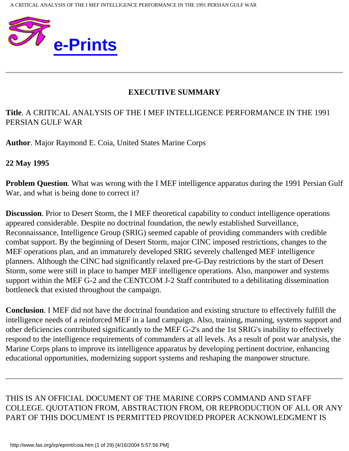

## **EXECUTIVE SUMMARY**

### **Title**. A CRITICAL ANALYSIS OF THE I MEF INTELLIGENCE PERFORMANCE IN THE 1991 PERSIAN GULF WAR

**Author**. Major Raymond E. Coia, United States Marine Corps

**22 May 1995**

**Problem Question.** What was wrong with the I MEF intelligence apparatus during the 1991 Persian Gulf War, and what is being done to correct it?

**Discussion**. Prior to Desert Storm, the I MEF theoretical capability to conduct intelligence operations appeared considerable. Despite no doctrinal foundation, the newly established Surveillance, Reconnaissance, Intelligence Group (SRIG) seemed capable of providing commanders with credible combat support. By the beginning of Desert Storm, major CINC imposed restrictions, changes to the MEF operations plan, and an immaturely developed SRIG severely challenged MEF intelligence planners. Although the CINC had significantly relaxed pre-G-Day restrictions by the start of Desert Storm, some were still in place to hamper MEF intelligence operations. Also, manpower and systems support within the MEF G-2 and the CENTCOM J-2 Staff contributed to a debilitating dissemination bottleneck that existed throughout the campaign.

**Conclusion**. I MEF did not have the doctrinal foundation and existing structure to effectively fulfill the intelligence needs of a reinforced MEF in a land campaign. Also, training, manning, systems support and other deficiencies contributed significantly to the MEF G-2's and the 1st SRIG's inability to effectively respond to the intelligence requirements of commanders at all levels. As a result of post war analysis, the Marine Corps plans to improve its intelligence apparatus by developing pertinent doctrine, enhancing educational opportunities, modernizing support systems and reshaping the manpower structure.

THIS IS AN OFFICIAL DOCUMENT OF THE MARINE CORPS COMMAND AND STAFF COLLEGE. QUOTATION FROM, ABSTRACTION FROM, OR REPRODUCTION OF ALL OR ANY PART OF THIS DOCUMENT IS PERMITTED PROVIDED PROPER ACKNOWLEDGMENT IS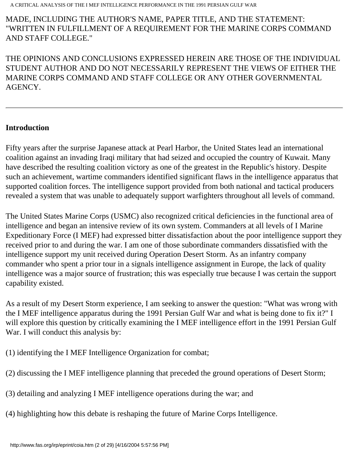#### MADE, INCLUDING THE AUTHOR'S NAME, PAPER TITLE, AND THE STATEMENT: "WRITTEN IN FULFILLMENT OF A REQUIREMENT FOR THE MARINE CORPS COMMAND AND STAFF COLLEGE."

THE OPINIONS AND CONCLUSIONS EXPRESSED HEREIN ARE THOSE OF THE INDIVIDUAL STUDENT AUTHOR AND DO NOT NECESSARILY REPRESENT THE VIEWS OF EITHER THE MARINE CORPS COMMAND AND STAFF COLLEGE OR ANY OTHER GOVERNMENTAL AGENCY.

#### **Introduction**

Fifty years after the surprise Japanese attack at Pearl Harbor, the United States lead an international coalition against an invading Iraqi military that had seized and occupied the country of Kuwait. Many have described the resulting coalition victory as one of the greatest in the Republic's history. Despite such an achievement, wartime commanders identified significant flaws in the intelligence apparatus that supported coalition forces. The intelligence support provided from both national and tactical producers revealed a system that was unable to adequately support warfighters throughout all levels of command.

The United States Marine Corps (USMC) also recognized critical deficiencies in the functional area of intelligence and began an intensive review of its own system. Commanders at all levels of I Marine Expeditionary Force (I MEF) had expressed bitter dissatisfaction about the poor intelligence support they received prior to and during the war. I am one of those subordinate commanders dissatisfied with the intelligence support my unit received during Operation Desert Storm. As an infantry company commander who spent a prior tour in a signals intelligence assignment in Europe, the lack of quality intelligence was a major source of frustration; this was especially true because I was certain the support capability existed.

As a result of my Desert Storm experience, I am seeking to answer the question: "What was wrong with the I MEF intelligence apparatus during the 1991 Persian Gulf War and what is being done to fix it?" I will explore this question by critically examining the I MEF intelligence effort in the 1991 Persian Gulf War. I will conduct this analysis by:

- (1) identifying the I MEF Intelligence Organization for combat;
- (2) discussing the I MEF intelligence planning that preceded the ground operations of Desert Storm;
- (3) detailing and analyzing I MEF intelligence operations during the war; and
- (4) highlighting how this debate is reshaping the future of Marine Corps Intelligence.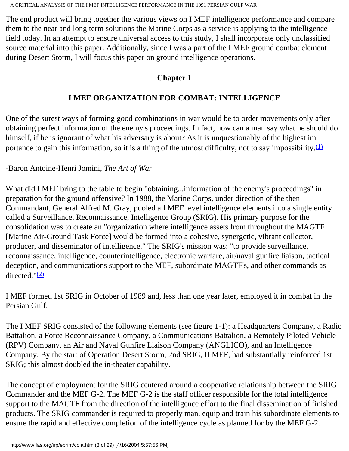The end product will bring together the various views on I MEF intelligence performance and compare them to the near and long term solutions the Marine Corps as a service is applying to the intelligence field today. In an attempt to ensure universal access to this study, I shall incorporate only unclassified source material into this paper. Additionally, since I was a part of the I MEF ground combat element during Desert Storm, I will focus this paper on ground intelligence operations.

## **Chapter 1**

## **I MEF ORGANIZATION FOR COMBAT: INTELLIGENCE**

One of the surest ways of forming good combinations in war would be to order movements only after obtaining perfect information of the enemy's proceedings. In fact, how can a man say what he should do himself, if he is ignorant of what his adversary is about? As it is unquestionably of the highest im portance to gain this information, so it is a thing of the utmost difficulty, not to say impossibility. $(1)$ 

## -Baron Antoine-Henri Jomini, *The Art of War*

What did I MEF bring to the table to begin "obtaining...information of the enemy's proceedings" in preparation for the ground offensive? In 1988, the Marine Corps, under direction of the then Commandant, General Alfred M. Gray, pooled all MEF level intelligence elements into a single entity called a Surveillance, Reconnaissance, Intelligence Group (SRIG). His primary purpose for the consolidation was to create an "organization where intelligence assets from throughout the MAGTF [Marine Air-Ground Task Force] would be formed into a cohesive, synergetic, vibrant collector, producer, and disseminator of intelligence." The SRIG's mission was: "to provide surveillance, reconnaissance, intelligence, counterintelligence, electronic warfare, air/naval gunfire liaison, tactical deception, and communications support to the MEF, subordinate MAGTF's, and other commands as directed." $(2)$ 

I MEF formed 1st SRIG in October of 1989 and, less than one year later, employed it in combat in the Persian Gulf.

The I MEF SRIG consisted of the following elements (see figure 1-1): a Headquarters Company, a Radio Battalion, a Force Reconnaissance Company, a Communications Battalion, a Remotely Piloted Vehicle (RPV) Company, an Air and Naval Gunfire Liaison Company (ANGLICO), and an Intelligence Company. By the start of Operation Desert Storm, 2nd SRIG, II MEF, had substantially reinforced 1st SRIG; this almost doubled the in-theater capability.

The concept of employment for the SRIG centered around a cooperative relationship between the SRIG Commander and the MEF G-2. The MEF G-2 is the staff officer responsible for the total intelligence support to the MAGTF from the direction of the intelligence effort to the final dissemination of finished products. The SRIG commander is required to properly man, equip and train his subordinate elements to ensure the rapid and effective completion of the intelligence cycle as planned for by the MEF G-2.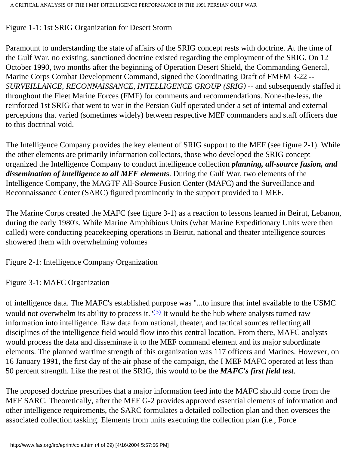## Figure 1-1: 1st SRIG Organization for Desert Storm

Paramount to understanding the state of affairs of the SRIG concept rests with doctrine. At the time of the Gulf War, no existing, sanctioned doctrine existed regarding the employment of the SRIG. On 12 October 1990, two months after the beginning of Operation Desert Shield, the Commanding General, Marine Corps Combat Development Command, signed the Coordinating Draft of FMFM 3-22 -- *SURVEILLANCE, RECONNAISSANCE, INTELLIGENCE GROUP (SRIG)* -- and subsequently staffed it throughout the Fleet Marine Forces (FMF) for comments and recommendations. None-the-less, the reinforced 1st SRIG that went to war in the Persian Gulf operated under a set of internal and external perceptions that varied (sometimes widely) between respective MEF commanders and staff officers due to this doctrinal void.

The Intelligence Company provides the key element of SRIG support to the MEF (see figure 2-1). While the other elements are primarily information collectors, those who developed the SRIG concept organized the Intelligence Company to conduct intelligence collection *planning, all-source fusion, and dissemination of intelligence to all MEF element*s. During the Gulf War, two elements of the Intelligence Company, the MAGTF All-Source Fusion Center (MAFC) and the Surveillance and Reconnaissance Center (SARC) figured prominently in the support provided to I MEF.

The Marine Corps created the MAFC (see figure 3-1) as a reaction to lessons learned in Beirut, Lebanon, during the early 1980's. While Marine Amphibious Units (what Marine Expeditionary Units were then called) were conducting peacekeeping operations in Beirut, national and theater intelligence sources showered them with overwhelming volumes

Figure 2-1: Intelligence Company Organization

Figure 3-1: MAFC Organization

of intelligence data. The MAFC's established purpose was "...to insure that intel available to the USMC would not overwhelm its ability to process it." $\frac{3}{3}$  It would be the hub where analysts turned raw information into intelligence. Raw data from national, theater, and tactical sources reflecting all disciplines of the intelligence field would flow into this central location. From there, MAFC analysts would process the data and disseminate it to the MEF command element and its major subordinate elements. The planned wartime strength of this organization was 117 officers and Marines. However, on 16 January 1991, the first day of the air phase of the campaign, the I MEF MAFC operated at less than 50 percent strength. Like the rest of the SRIG, this would to be the *MAFC's first field test*.

The proposed doctrine prescribes that a major information feed into the MAFC should come from the MEF SARC. Theoretically, after the MEF G-2 provides approved essential elements of information and other intelligence requirements, the SARC formulates a detailed collection plan and then oversees the associated collection tasking. Elements from units executing the collection plan (i.e., Force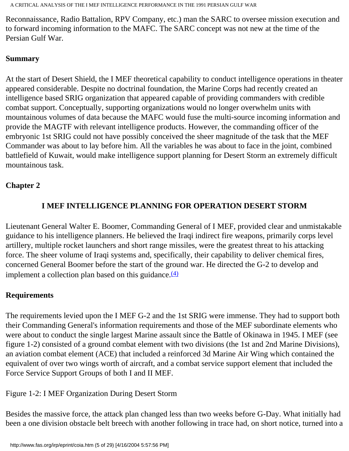Reconnaissance, Radio Battalion, RPV Company, etc.) man the SARC to oversee mission execution and to forward incoming information to the MAFC. The SARC concept was not new at the time of the Persian Gulf War.

### **Summary**

At the start of Desert Shield, the I MEF theoretical capability to conduct intelligence operations in theater appeared considerable. Despite no doctrinal foundation, the Marine Corps had recently created an intelligence based SRIG organization that appeared capable of providing commanders with credible combat support. Conceptually, supporting organizations would no longer overwhelm units with mountainous volumes of data because the MAFC would fuse the multi-source incoming information and provide the MAGTF with relevant intelligence products. However, the commanding officer of the embryonic 1st SRIG could not have possibly conceived the sheer magnitude of the task that the MEF Commander was about to lay before him. All the variables he was about to face in the joint, combined battlefield of Kuwait, would make intelligence support planning for Desert Storm an extremely difficult mountainous task.

## **Chapter 2**

# **I MEF INTELLIGENCE PLANNING FOR OPERATION DESERT STORM**

Lieutenant General Walter E. Boomer, Commanding General of I MEF, provided clear and unmistakable guidance to his intelligence planners. He believed the Iraqi indirect fire weapons, primarily corps level artillery, multiple rocket launchers and short range missiles, were the greatest threat to his attacking force. The sheer volume of Iraqi systems and, specifically, their capability to deliver chemical fires, concerned General Boomer before the start of the ground war. He directed the G-2 to develop and implement a collection plan based on this guidance. $(4)$ 

## **Requirements**

The requirements levied upon the I MEF G-2 and the 1st SRIG were immense. They had to support both their Commanding General's information requirements and those of the MEF subordinate elements who were about to conduct the single largest Marine assault since the Battle of Okinawa in 1945. I MEF (see figure 1-2) consisted of a ground combat element with two divisions (the 1st and 2nd Marine Divisions), an aviation combat element (ACE) that included a reinforced 3d Marine Air Wing which contained the equivalent of over two wings worth of aircraft, and a combat service support element that included the Force Service Support Groups of both I and II MEF.

Figure 1-2: I MEF Organization During Desert Storm

Besides the massive force, the attack plan changed less than two weeks before G-Day. What initially had been a one division obstacle belt breech with another following in trace had, on short notice, turned into a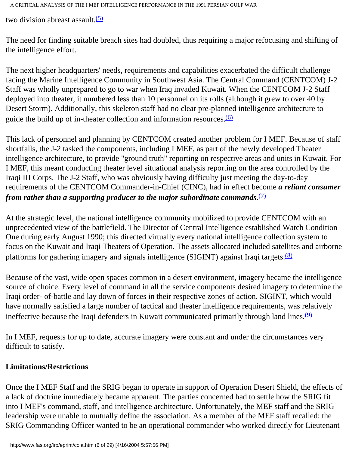two division abreast assault. $(5)$ 

The need for finding suitable breach sites had doubled, thus requiring a major refocusing and shifting of the intelligence effort.

The next higher headquarters' needs, requirements and capabilities exacerbated the difficult challenge facing the Marine Intelligence Community in Southwest Asia. The Central Command (CENTCOM) J-2 Staff was wholly unprepared to go to war when Iraq invaded Kuwait. When the CENTCOM J-2 Staff deployed into theater, it numbered less than 10 personnel on its rolls (although it grew to over 40 by Desert Storm). Additionally, this skeleton staff had no clear pre-planned intelligence architecture to guide the build up of in-theater collection and information resources. $(6)$ 

This lack of personnel and planning by CENTCOM created another problem for I MEF. Because of staff shortfalls, the J-2 tasked the components, including I MEF, as part of the newly developed Theater intelligence architecture, to provide "ground truth" reporting on respective areas and units in Kuwait. For I MEF, this meant conducting theater level situational analysis reporting on the area controlled by the Iraqi III Corps. The J-2 Staff, who was obviously having difficulty just meeting the day-to-day requirements of the CENTCOM Commander-in-Chief (CINC), had in effect become *a reliant consumer from rather than a supporting producer to the major subordinate commands*. [\(7\)](#page-24-6)

At the strategic level, the national intelligence community mobilized to provide CENTCOM with an unprecedented view of the battlefield. The Director of Central Intelligence established Watch Condition One during early August 1990; this directed virtually every national intelligence collection system to focus on the Kuwait and Iraqi Theaters of Operation. The assets allocated included satellites and airborne platforms for gathering imagery and signals intelligence (SIGINT) against Iraqi targets.<sup>(8)</sup>

Because of the vast, wide open spaces common in a desert environment, imagery became the intelligence source of choice. Every level of command in all the service components desired imagery to determine the Iraqi order- of-battle and lay down of forces in their respective zones of action. SIGINT, which would have normally satisfied a large number of tactical and theater intelligence requirements, was relatively ineffective because the Iraqi defenders in Kuwait communicated primarily through land lines.<sup>[\(9\)](#page-24-8)</sup>

In I MEF, requests for up to date, accurate imagery were constant and under the circumstances very difficult to satisfy.

### **Limitations/Restrictions**

Once the I MEF Staff and the SRIG began to operate in support of Operation Desert Shield, the effects of a lack of doctrine immediately became apparent. The parties concerned had to settle how the SRIG fit into I MEF's command, staff, and intelligence architecture. Unfortunately, the MEF staff and the SRIG leadership were unable to mutually define the association. As a member of the MEF staff recalled: the SRIG Commanding Officer wanted to be an operational commander who worked directly for Lieutenant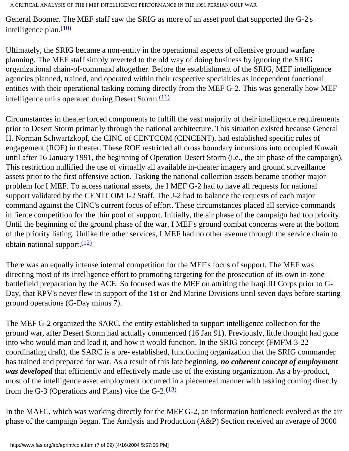General Boomer. The MEF staff saw the SRIG as more of an asset pool that supported the G-2's intelligence plan. $(10)$ 

Ultimately, the SRIG became a non-entity in the operational aspects of offensive ground warfare planning. The MEF staff simply reverted to the old way of doing business by ignoring the SRIG organizational chain-of-command altogether. Before the establishment of the SRIG, MEF intelligence agencies planned, trained, and operated within their respective specialties as independent functional entities with their operational tasking coming directly from the MEF G-2. This was generally how MEF intelligence units operated during Desert Storm. $\frac{(11)}{2}$ 

Circumstances in theater forced components to fulfill the vast majority of their intelligence requirements prior to Desert Storm primarily through the national architecture. This situation existed because General H. Norman Schwartzkopf, the CINC of CENTCOM (CINCENT), had established specific rules of engagement (ROE) in theater. These ROE restricted all cross boundary incursions into occupied Kuwait until after 16 January 1991, the beginning of Operation Desert Storm (i.e., the air phase of the campaign). This restriction nullified the use of virtually all available in-theater imagery and ground surveillance assets prior to the first offensive action. Tasking the national collection assets became another major problem for I MEF. To access national assets, the I MEF G-2 had to have all requests for national support validated by the CENTCOM J-2 Staff. The J-2 had to balance the requests of each major command against the CINC's current focus of effort. These circumstances placed all service commands in fierce competition for the thin pool of support. Initially, the air phase of the campaign had top priority. Until the beginning of the ground phase of the war, I MEF's ground combat concerns were at the bottom of the priority listing. Unlike the other services, I MEF had no other avenue through the service chain to obtain national support. $(12)$ 

There was an equally intense internal competition for the MEF's focus of support. The MEF was directing most of its intelligence effort to promoting targeting for the prosecution of its own in-zone battlefield preparation by the ACE. So focused was the MEF on attriting the Iraqi III Corps prior to G-Day, that RPV's never flew in support of the 1st or 2nd Marine Divisions until seven days before starting ground operations (G-Day minus 7).

The MEF G-2 organized the SARC, the entity established to support intelligence collection for the ground war, after Desert Storm had actually commenced (16 Jan 91). Previously, little thought had gone into who would man and lead it, and how it would function. In the SRIG concept (FMFM 3-22 coordinating draft), the SARC is a pre- established, functioning organization that the SRIG commander has trained and prepared for war. As a result of this late beginning, *no coherent concept of employment was developed* that efficiently and effectively made use of the existing organization. As a by-product, most of the intelligence asset employment occurred in a piecemeal manner with tasking coming directly from the G-3 (Operations and Plans) vice the  $G-2$ .  $(13)$ 

In the MAFC, which was working directly for the MEF G-2, an information bottleneck evolved as the air phase of the campaign began. The Analysis and Production (A&P) Section received an average of 3000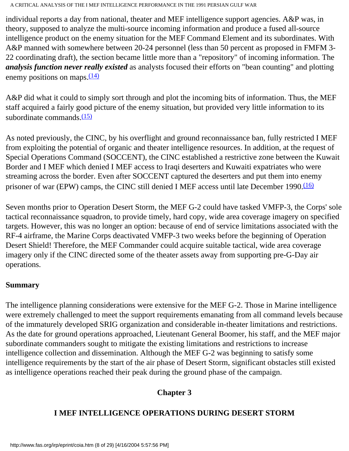individual reports a day from national, theater and MEF intelligence support agencies. A&P was, in theory, supposed to analyze the multi-source incoming information and produce a fused all-source intelligence product on the enemy situation for the MEF Command Element and its subordinates. With A&P manned with somewhere between 20-24 personnel (less than 50 percent as proposed in FMFM 3- 22 coordinating draft), the section became little more than a "repository" of incoming information. The *analysis function never really existed* as analysts focused their efforts on "bean counting" and plotting enemy positions on maps. $\frac{(14)}{2}$ 

A&P did what it could to simply sort through and plot the incoming bits of information. Thus, the MEF staff acquired a fairly good picture of the enemy situation, but provided very little information to its subordinate commands. $(15)$ 

As noted previously, the CINC, by his overflight and ground reconnaissance ban, fully restricted I MEF from exploiting the potential of organic and theater intelligence resources. In addition, at the request of Special Operations Command (SOCCENT), the CINC established a restrictive zone between the Kuwait Border and I MEF which denied I MEF access to Iraqi deserters and Kuwaiti expatriates who were streaming across the border. Even after SOCCENT captured the deserters and put them into enemy prisoner of war (EPW) camps, the CINC still denied I MEF access until late December 1990.<sup>(16)</sup>

Seven months prior to Operation Desert Storm, the MEF G-2 could have tasked VMFP-3, the Corps' sole tactical reconnaissance squadron, to provide timely, hard copy, wide area coverage imagery on specified targets. However, this was no longer an option: because of end of service limitations associated with the RF-4 airframe, the Marine Corps deactivated VMFP-3 two weeks before the beginning of Operation Desert Shield! Therefore, the MEF Commander could acquire suitable tactical, wide area coverage imagery only if the CINC directed some of the theater assets away from supporting pre-G-Day air operations.

### **Summary**

The intelligence planning considerations were extensive for the MEF G-2. Those in Marine intelligence were extremely challenged to meet the support requirements emanating from all command levels because of the immaturely developed SRIG organization and considerable in-theater limitations and restrictions. As the date for ground operations approached, Lieutenant General Boomer, his staff, and the MEF major subordinate commanders sought to mitigate the existing limitations and restrictions to increase intelligence collection and dissemination. Although the MEF G-2 was beginning to satisfy some intelligence requirements by the start of the air phase of Desert Storm, significant obstacles still existed as intelligence operations reached their peak during the ground phase of the campaign.

## **Chapter 3**

## **I MEF INTELLIGENCE OPERATIONS DURING DESERT STORM**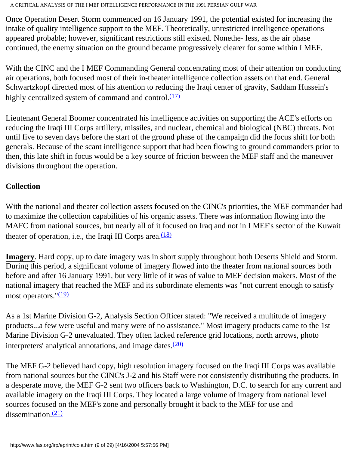Once Operation Desert Storm commenced on 16 January 1991, the potential existed for increasing the intake of quality intelligence support to the MEF. Theoretically, unrestricted intelligence operations appeared probable; however, significant restrictions still existed. Nonethe- less, as the air phase continued, the enemy situation on the ground became progressively clearer for some within I MEF.

With the CINC and the I MEF Commanding General concentrating most of their attention on conducting air operations, both focused most of their in-theater intelligence collection assets on that end. General Schwartzkopf directed most of his attention to reducing the Iraqi center of gravity, Saddam Hussein's highly centralized system of command and control. $(17)$ 

Lieutenant General Boomer concentrated his intelligence activities on supporting the ACE's efforts on reducing the Iraqi III Corps artillery, missiles, and nuclear, chemical and biological (NBC) threats. Not until five to seven days before the start of the ground phase of the campaign did the focus shift for both generals. Because of the scant intelligence support that had been flowing to ground commanders prior to then, this late shift in focus would be a key source of friction between the MEF staff and the maneuver divisions throughout the operation.

### **Collection**

With the national and theater collection assets focused on the CINC's priorities, the MEF commander had to maximize the collection capabilities of his organic assets. There was information flowing into the MAFC from national sources, but nearly all of it focused on Iraq and not in I MEF's sector of the Kuwait theater of operation, i.e., the Iraqi III Corps area. $\frac{(18)}{2}$  $\frac{(18)}{2}$  $\frac{(18)}{2}$ 

**Imagery**. Hard copy, up to date imagery was in short supply throughout both Deserts Shield and Storm. During this period, a significant volume of imagery flowed into the theater from national sources both before and after 16 January 1991, but very little of it was of value to MEF decision makers. Most of the national imagery that reached the MEF and its subordinate elements was "not current enough to satisfy most operators."<sup>(19)</sup>

As a 1st Marine Division G-2, Analysis Section Officer stated: "We received a multitude of imagery products...a few were useful and many were of no assistance." Most imagery products came to the 1st Marine Division G-2 unevaluated. They often lacked reference grid locations, north arrows, photo interpreters' analytical annotations, and image dates. $(20)$ 

The MEF G-2 believed hard copy, high resolution imagery focused on the Iraqi III Corps was available from national sources but the CINC's J-2 and his Staff were not consistently distributing the products. In a desperate move, the MEF G-2 sent two officers back to Washington, D.C. to search for any current and available imagery on the Iraqi III Corps. They located a large volume of imagery from national level sources focused on the MEF's zone and personally brought it back to the MEF for use and dissemination. $(21)$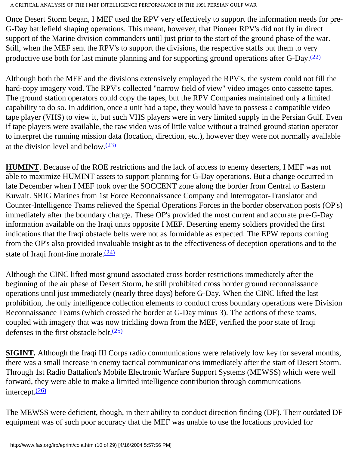Once Desert Storm began, I MEF used the RPV very effectively to support the information needs for pre-G-Day battlefield shaping operations. This meant, however, that Pioneer RPV's did not fly in direct support of the Marine division commanders until just prior to the start of the ground phase of the war. Still, when the MEF sent the RPV's to support the divisions, the respective staffs put them to very productive use both for last minute planning and for supporting ground operations after G-Day. $(22)$ 

Although both the MEF and the divisions extensively employed the RPV's, the system could not fill the hard-copy imagery void. The RPV's collected "narrow field of view" video images onto cassette tapes. The ground station operators could copy the tapes, but the RPV Companies maintained only a limited capability to do so. In addition, once a unit had a tape, they would have to possess a compatible video tape player (VHS) to view it, but such VHS players were in very limited supply in the Persian Gulf. Even if tape players were available, the raw video was of little value without a trained ground station operator to interpret the running mission data (location, direction, etc.), however they were not normally available at the division level and below. $(23)$ 

**HUMINT**. Because of the ROE restrictions and the lack of access to enemy deserters, I MEF was not able to maximize HUMINT assets to support planning for G-Day operations. But a change occurred in late December when I MEF took over the SOCCENT zone along the border from Central to Eastern Kuwait. SRIG Marines from 1st Force Reconnaissance Company and Interrogator-Translator and Counter-Intelligence Teams relieved the Special Operations Forces in the border observation posts (OP's) immediately after the boundary change. These OP's provided the most current and accurate pre-G-Day information available on the Iraqi units opposite I MEF. Deserting enemy soldiers provided the first indications that the Iraqi obstacle belts were not as formidable as expected. The EPW reports coming from the OP's also provided invaluable insight as to the effectiveness of deception operations and to the state of Iraqi front-line morale. $(24)$ 

Although the CINC lifted most ground associated cross border restrictions immediately after the beginning of the air phase of Desert Storm, he still prohibited cross border ground reconnaissance operations until just immediately (nearly three days) before G-Day. When the CINC lifted the last prohibition, the only intelligence collection elements to conduct cross boundary operations were Division Reconnaissance Teams (which crossed the border at G-Day minus 3). The actions of these teams, coupled with imagery that was now trickling down from the MEF, verified the poor state of Iraqi defenses in the first obstacle belt. $(25)$ 

**SIGINT.** Although the Iraqi III Corps radio communications were relatively low key for several months, there was a small increase in enemy tactical communications immediately after the start of Desert Storm. Through 1st Radio Battalion's Mobile Electronic Warfare Support Systems (MEWSS) which were well forward, they were able to make a limited intelligence contribution through communications intercept. $(26)$ 

The MEWSS were deficient, though, in their ability to conduct direction finding (DF). Their outdated DF equipment was of such poor accuracy that the MEF was unable to use the locations provided for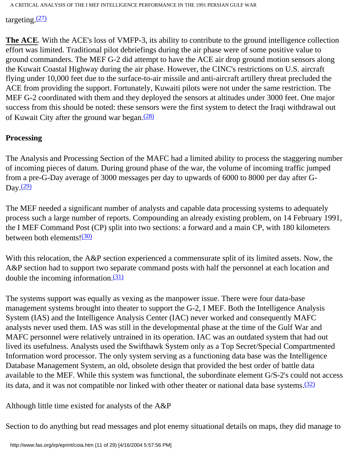targeting. $(27)$ 

**The ACE***.* With the ACE's loss of VMFP-3, its ability to contribute to the ground intelligence collection effort was limited. Traditional pilot debriefings during the air phase were of some positive value to ground commanders. The MEF G-2 did attempt to have the ACE air drop ground motion sensors along the Kuwait Coastal Highway during the air phase. However, the CINC's restrictions on U.S. aircraft flying under 10,000 feet due to the surface-to-air missile and anti-aircraft artillery threat precluded the ACE from providing the support. Fortunately, Kuwaiti pilots were not under the same restriction. The MEF G-2 coordinated with them and they deployed the sensors at altitudes under 3000 feet. One major success from this should be noted: these sensors were the first system to detect the Iraqi withdrawal out of Kuwait City after the ground war began. $(28)$ 

### **Processing**

The Analysis and Processing Section of the MAFC had a limited ability to process the staggering number of incoming pieces of datum. During ground phase of the war, the volume of incoming traffic jumped from a pre-G-Day average of 3000 messages per day to upwards of 6000 to 8000 per day after G-Day. $(29)$ 

The MEF needed a significant number of analysts and capable data processing systems to adequately process such a large number of reports. Compounding an already existing problem, on 14 February 1991, the I MEF Command Post (CP) split into two sections: a forward and a main CP, with 180 kilometers between both elements! $\frac{(30)}{20}$  $\frac{(30)}{20}$  $\frac{(30)}{20}$ 

With this relocation, the A&P section experienced a commensurate split of its limited assets. Now, the A&P section had to support two separate command posts with half the personnel at each location and double the incoming information. $(31)$ 

The systems support was equally as vexing as the manpower issue. There were four data-base management systems brought into theater to support the G-2, I MEF. Both the Intelligence Analysis System (IAS) and the Intelligence Analysis Center (IAC) never worked and consequently MAFC analysts never used them. IAS was still in the developmental phase at the time of the Gulf War and MAFC personnel were relatively untrained in its operation. IAC was an outdated system that had out lived its usefulness. Analysts used the Swifthawk System only as a Top Secret/Special Compartmented Information word processor. The only system serving as a functioning data base was the Intelligence Database Management System, an old, obsolete design that provided the best order of battle data available to the MEF. While this system was functional, the subordinate element G/S-2's could not access its data, and it was not compatible nor linked with other theater or national data base systems. $\frac{(32)}{2}$ 

Although little time existed for analysts of the A&P

Section to do anything but read messages and plot enemy situational details on maps, they did manage to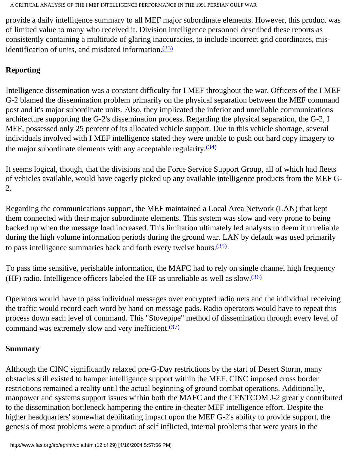provide a daily intelligence summary to all MEF major subordinate elements. However, this product was of limited value to many who received it. Division intelligence personnel described these reports as consistently containing a multitude of glaring inaccuracies, to include incorrect grid coordinates, misidentification of units, and misdated information. $(33)$ 

## **Reporting**

Intelligence dissemination was a constant difficulty for I MEF throughout the war. Officers of the I MEF G-2 blamed the dissemination problem primarily on the physical separation between the MEF command post and it's major subordinate units. Also, they implicated the inferior and unreliable communications architecture supporting the G-2's dissemination process. Regarding the physical separation, the G-2, I MEF, possessed only 25 percent of its allocated vehicle support. Due to this vehicle shortage, several individuals involved with I MEF intelligence stated they were unable to push out hard copy imagery to the major subordinate elements with any acceptable regularity.<sup>(34)</sup>

It seems logical, though, that the divisions and the Force Service Support Group, all of which had fleets of vehicles available, would have eagerly picked up any available intelligence products from the MEF G-2.

Regarding the communications support, the MEF maintained a Local Area Network (LAN) that kept them connected with their major subordinate elements. This system was slow and very prone to being backed up when the message load increased. This limitation ultimately led analysts to deem it unreliable during the high volume information periods during the ground war. LAN by default was used primarily to pass intelligence summaries back and forth every twelve hours[.\(35\)](#page-26-13)

To pass time sensitive, perishable information, the MAFC had to rely on single channel high frequency (HF) radio. Intelligence officers labeled the HF as unreliable as well as slow. $(36)$ 

Operators would have to pass individual messages over encrypted radio nets and the individual receiving the traffic would record each word by hand on message pads. Radio operators would have to repeat this process down each level of command. This "Stovepipe" method of dissemination through every level of command was extremely slow and very inefficient.<sup>[\(37\)](#page-27-0)</sup>

### **Summary**

Although the CINC significantly relaxed pre-G-Day restrictions by the start of Desert Storm, many obstacles still existed to hamper intelligence support within the MEF. CINC imposed cross border restrictions remained a reality until the actual beginning of ground combat operations. Additionally, manpower and systems support issues within both the MAFC and the CENTCOM J-2 greatly contributed to the dissemination bottleneck hampering the entire in-theater MEF intelligence effort. Despite the higher headquarters' somewhat debilitating impact upon the MEF G-2's ability to provide support, the genesis of most problems were a product of self inflicted, internal problems that were years in the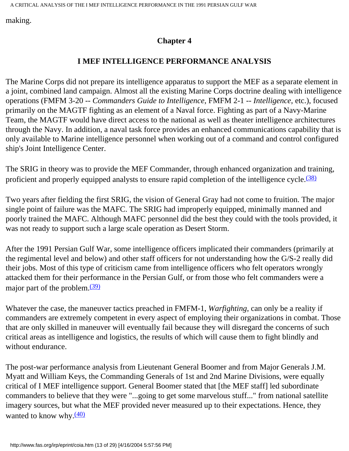making.

## **Chapter 4**

### **I MEF INTELLIGENCE PERFORMANCE ANALYSIS**

The Marine Corps did not prepare its intelligence apparatus to support the MEF as a separate element in a joint, combined land campaign. Almost all the existing Marine Corps doctrine dealing with intelligence operations (FMFM 3-20 -- *Commanders Guide to Intelligence*, FMFM 2-1 -- *Intelligence*, etc.), focused primarily on the MAGTF fighting as an element of a Naval force. Fighting as part of a Navy-Marine Team, the MAGTF would have direct access to the national as well as theater intelligence architectures through the Navy. In addition, a naval task force provides an enhanced communications capability that is only available to Marine intelligence personnel when working out of a command and control configured ship's Joint Intelligence Center.

The SRIG in theory was to provide the MEF Commander, through enhanced organization and training, proficient and properly equipped analysts to ensure rapid completion of the intelligence cycle.<sup>[\(38\)](#page-27-1)</sup>

Two years after fielding the first SRIG, the vision of General Gray had not come to fruition. The major single point of failure was the MAFC. The SRIG had improperly equipped, minimally manned and poorly trained the MAFC. Although MAFC personnel did the best they could with the tools provided, it was not ready to support such a large scale operation as Desert Storm.

After the 1991 Persian Gulf War, some intelligence officers implicated their commanders (primarily at the regimental level and below) and other staff officers for not understanding how the G/S-2 really did their jobs. Most of this type of criticism came from intelligence officers who felt operators wrongly attacked them for their performance in the Persian Gulf, or from those who felt commanders were a major part of the problem. $\frac{(39)}{2}$  $\frac{(39)}{2}$  $\frac{(39)}{2}$ 

Whatever the case, the maneuver tactics preached in FMFM-1, *Warfighting*, can only be a reality if commanders are extremely competent in every aspect of employing their organizations in combat. Those that are only skilled in maneuver will eventually fail because they will disregard the concerns of such critical areas as intelligence and logistics, the results of which will cause them to fight blindly and without endurance.

The post-war performance analysis from Lieutenant General Boomer and from Major Generals J.M. Myatt and William Keys, the Commanding Generals of 1st and 2nd Marine Divisions, were equally critical of I MEF intelligence support. General Boomer stated that [the MEF staff] led subordinate commanders to believe that they were "...going to get some marvelous stuff..." from national satellite imagery sources, but what the MEF provided never measured up to their expectations. Hence, they wanted to know why. $\frac{(40)}{2}$  $\frac{(40)}{2}$  $\frac{(40)}{2}$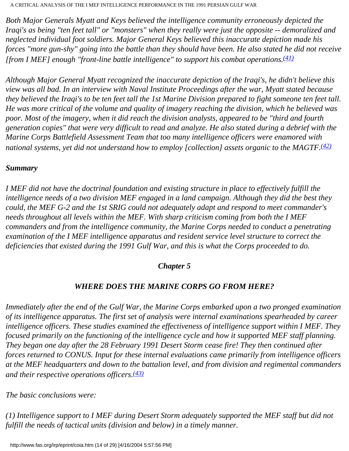*Both Major Generals Myatt and Keys believed the intelligence community erroneously depicted the Iraqi's as being "ten feet tall" or "monsters" when they really were just the opposite -- demoralized and neglected individual foot soldiers. Major General Keys believed this inaccurate depiction made his forces "more gun-shy" going into the battle than they should have been. He also stated he did not receive [from I MEF] enough "front-line battle intelligence" to support his combat operations.[\(41\)](#page-27-4)*

*Although Major General Myatt recognized the inaccurate depiction of the Iraqi's, he didn't believe this view was all bad. In an interview with Naval Institute Proceedings after the war, Myatt stated because they believed the Iraqi's to be ten feet tall the 1st Marine Division prepared to fight someone ten feet tall. He was more critical of the volume and quality of imagery reaching the division, which he believed was poor. Most of the imagery, when it did reach the division analysts, appeared to be "third and fourth generation copies" that were very difficult to read and analyze. He also stated during a debrief with the Marine Corps Battlefield Assessment Team that too many intelligence officers were enamored with national systems, yet did not understand how to employ [collection] assets organic to the MAGTF.[\(42\)](#page-27-5)*

#### *Summary*

*I MEF did not have the doctrinal foundation and existing structure in place to effectively fulfill the intelligence needs of a two division MEF engaged in a land campaign. Although they did the best they could, the MEF G-2 and the 1st SRIG could not adequately adapt and respond to meet commander's needs throughout all levels within the MEF. With sharp criticism coming from both the I MEF commanders and from the intelligence community, the Marine Corps needed to conduct a penetrating examination of the I MEF intelligence apparatus and resident service level structure to correct the deficiencies that existed during the 1991 Gulf War, and this is what the Corps proceeded to do.* 

#### *Chapter 5*

# *WHERE DOES THE MARINE CORPS GO FROM HERE?*

*Immediately after the end of the Gulf War, the Marine Corps embarked upon a two pronged examination of its intelligence apparatus. The first set of analysis were internal examinations spearheaded by career intelligence officers. These studies examined the effectiveness of intelligence support within I MEF. They focused primarily on the functioning of the intelligence cycle and how it supported MEF staff planning. They began one day after the 28 February 1991 Desert Storm cease fire! They then continued after forces returned to CONUS. Input for these internal evaluations came primarily from intelligence officers at the MEF headquarters and down to the battalion level, and from division and regimental commanders and their respective operations officers.[\(43\)](#page-27-6)*

*The basic conclusions were:* 

*(1) Intelligence support to I MEF during Desert Storm adequately supported the MEF staff but did not fulfill the needs of tactical units (division and below) in a timely manner.*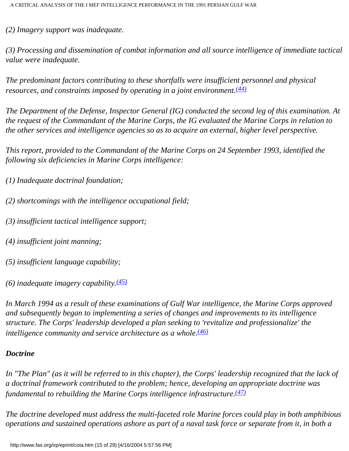*(2) Imagery support was inadequate.* 

*(3) Processing and dissemination of combat information and all source intelligence of immediate tactical value were inadequate.* 

*The predominant factors contributing to these shortfalls were insufficient personnel and physical resources, and constraints imposed by operating in a joint environment[.\(44\)](#page-27-7)*

*The Department of the Defense, Inspector General (IG) conducted the second leg of this examination. At the request of the Commandant of the Marine Corps, the IG evaluated the Marine Corps in relation to the other services and intelligence agencies so as to acquire an external, higher level perspective.* 

*This report, provided to the Commandant of the Marine Corps on 24 September 1993, identified the following six deficiencies in Marine Corps intelligence:* 

- *(1) Inadequate doctrinal foundation;*
- *(2) shortcomings with the intelligence occupational field;*
- *(3) insufficient tactical intelligence support;*
- *(4) insufficient joint manning;*
- *(5) insufficient language capability;*
- *(6) inadequate imagery capability[.\(45\)](#page-27-8)*

*In March 1994 as a result of these examinations of Gulf War intelligence, the Marine Corps approved and subsequently began to implementing a series of changes and improvements to its intelligence structure. The Corps' leadership developed a plan seeking to 'revitalize and professionalize' the intelligence community and service architecture as a whole.[\(46\)](#page-27-9)*

## *Doctrine*

*In "The Plan" (as it will be referred to in this chapter), the Corps' leadership recognized that the lack of a doctrinal framework contributed to the problem; hence, developing an appropriate doctrine was fundamental to rebuilding the Marine Corps intelligence infrastructure.[\(47\)](#page-27-10)*

*The doctrine developed must address the multi-faceted role Marine forces could play in both amphibious operations and sustained operations ashore as part of a naval task force or separate from it, in both a*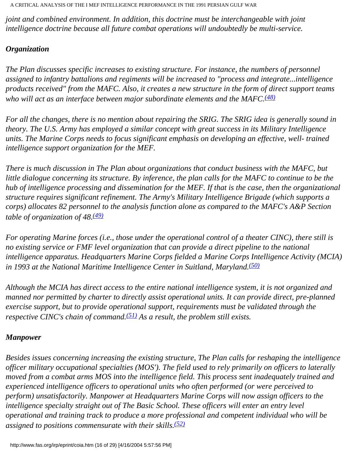*joint and combined environment. In addition, this doctrine must be interchangeable with joint intelligence doctrine because all future combat operations will undoubtedly be multi-service.* 

### *Organization*

*The Plan discusses specific increases to existing structure. For instance, the numbers of personnel assigned to infantry battalions and regiments will be increased to "process and integrate...intelligence products received" from the MAFC. Also, it creates a new structure in the form of direct support teams who will act as an interface between major subordinate elements and the MAFC.[\(48\)](#page-27-11)*

*For all the changes, there is no mention about repairing the SRIG. The SRIG idea is generally sound in theory. The U.S. Army has employed a similar concept with great success in its Military Intelligence units. The Marine Corps needs to focus significant emphasis on developing an effective, well- trained intelligence support organization for the MEF.* 

*There is much discussion in The Plan about organizations that conduct business with the MAFC, but little dialogue concerning its structure. By inference, the plan calls for the MAFC to continue to be the hub of intelligence processing and dissemination for the MEF. If that is the case, then the organizational structure requires significant refinement. The Army's Military Intelligence Brigade (which supports a corps) allocates 82 personnel to the analysis function alone as compared to the MAFC's A&P Section table of organization of 48.[\(49\)](#page-28-0)*

*For operating Marine forces (i.e., those under the operational control of a theater CINC), there still is no existing service or FMF level organization that can provide a direct pipeline to the national intelligence apparatus. Headquarters Marine Corps fielded a Marine Corps Intelligence Activity (MCIA) in 1993 at the National Maritime Intelligence Center in Suitland, Maryland.[\(50\)](#page-28-1)*

*Although the MCIA has direct access to the entire national intelligence system, it is not organized and manned nor permitted by charter to directly assist operational units. It can provide direct, pre-planned exercise support, but to provide operational support, requirements must be validated through the respective CINC's chain of command.[\(51\)](#page-28-2) As a result, the problem still exists.* 

#### *Manpower*

*Besides issues concerning increasing the existing structure, The Plan calls for reshaping the intelligence officer military occupational specialties (MOS'). The field used to rely primarily on officers to laterally moved from a combat arms MOS into the intelligence field. This process sent inadequately trained and experienced intelligence officers to operational units who often performed (or were perceived to perform) unsatisfactorily. Manpower at Headquarters Marine Corps will now assign officers to the*  intelligence specialty straight out of The Basic School. These officers will enter an entry level *operational and training track to produce a more professional and competent individual who will be assigned to positions commensurate with their skills.[\(52\)](#page-28-3)*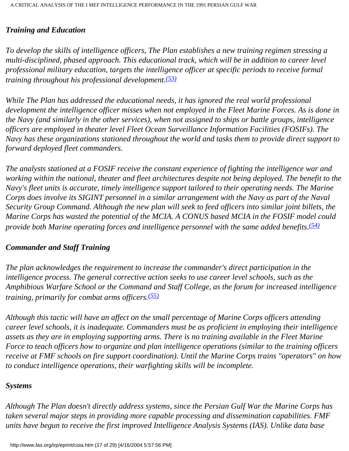#### *Training and Education*

*To develop the skills of intelligence officers, The Plan establishes a new training regimen stressing a multi-disciplined, phased approach. This educational track, which will be in addition to career level professional military education, targets the intelligence officer at specific periods to receive formal training throughout his professional development.[\(53\)](#page-28-4)*

*While The Plan has addressed the educational needs, it has ignored the real world professional development the intelligence officer misses when not employed in the Fleet Marine Forces. As is done in the Navy (and similarly in the other services), when not assigned to ships or battle groups, intelligence officers are employed in theater level Fleet Ocean Surveillance Information Facilities (FOSIFs). The Navy has these organizations stationed throughout the world and tasks them to provide direct support to forward deployed fleet commanders.* 

*The analysts stationed at a FOSIF receive the constant experience of fighting the intelligence war and working within the national, theater and fleet architectures despite not being deployed. The benefit to the Navy's fleet units is accurate, timely intelligence support tailored to their operating needs. The Marine Corps does involve its SIGINT personnel in a similar arrangement with the Navy as part of the Naval Security Group Command. Although the new plan will seek to feed officers into similar joint billets, the Marine Corps has wasted the potential of the MCIA. A CONUS based MCIA in the FOSIF model could provide both Marine operating forces and intelligence personnel with the same added benefits[.\(54\)](#page-28-5)*

#### *Commander and Staff Training*

*The plan acknowledges the requirement to increase the commander's direct participation in the intelligence process. The general corrective action seeks to use career level schools, such as the Amphibious Warfare School or the Command and Staff College, as the forum for increased intelligence training, primarily for combat arms officers.[\(55\)](#page-28-6)*

*Although this tactic will have an affect on the small percentage of Marine Corps officers attending career level schools, it is inadequate. Commanders must be as proficient in employing their intelligence assets as they are in employing supporting arms. There is no training available in the Fleet Marine Force to teach officers how to organize and plan intelligence operations (similar to the training officers receive at FMF schools on fire support coordination). Until the Marine Corps trains "operators" on how*  to conduct intelligence operations, their warfighting skills will be incomplete.

#### *Systems*

*Although The Plan doesn't directly address systems, since the Persian Gulf War the Marine Corps has taken several major steps in providing more capable processing and dissemination capabilities. FMF units have begun to receive the first improved Intelligence Analysis Systems (IAS). Unlike data base*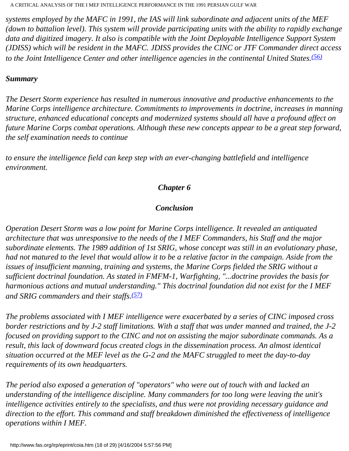*systems employed by the MAFC in 1991, the IAS will link subordinate and adjacent units of the MEF (down to battalion level). This system will provide participating units with the ability to rapidly exchange data and digitized imagery. It also is compatible with the Joint Deployable Intelligence Support System (JDISS) which will be resident in the MAFC. JDISS provides the CINC or JTF Commander direct access to the Joint Intelligence Center and other intelligence agencies in the continental United States.[\(56\)](#page-28-7)*

#### *Summary*

*The Desert Storm experience has resulted in numerous innovative and productive enhancements to the Marine Corps intelligence architecture. Commitments to improvements in doctrine, increases in manning structure, enhanced educational concepts and modernized systems should all have a profound affect on future Marine Corps combat operations. Although these new concepts appear to be a great step forward, the self examination needs to continue* 

*to ensure the intelligence field can keep step with an ever-changing battlefield and intelligence environment.* 

#### *Chapter 6*

### *Conclusion*

*Operation Desert Storm was a low point for Marine Corps intelligence. It revealed an antiquated architecture that was unresponsive to the needs of the I MEF Commanders, his Staff and the major subordinate elements. The 1989 addition of 1st SRIG, whose concept was still in an evolutionary phase, had not matured to the level that would allow it to be a relative factor in the campaign. Aside from the issues of insufficient manning, training and systems, the Marine Corps fielded the SRIG without a sufficient doctrinal foundation. As stated in FMFM-1, Warfighting, "...doctrine provides the basis for harmonious actions and mutual understanding." This doctrinal foundation did not exist for the I MEF and SRIG commanders and their staffs.[\(57\)](#page-28-8)*

*The problems associated with I MEF intelligence were exacerbated by a series of CINC imposed cross border restrictions and by J-2 staff limitations. With a staff that was under manned and trained, the J-2 focused on providing support to the CINC and not on assisting the major subordinate commands. As a result, this lack of downward focus created clogs in the dissemination process. An almost identical situation occurred at the MEF level as the G-2 and the MAFC struggled to meet the day-to-day requirements of its own headquarters.* 

*The period also exposed a generation of "operators" who were out of touch with and lacked an understanding of the intelligence discipline. Many commanders for too long were leaving the unit's intelligence activities entirely to the specialists, and thus were not providing necessary guidance and direction to the effort. This command and staff breakdown diminished the effectiveness of intelligence operations within I MEF.*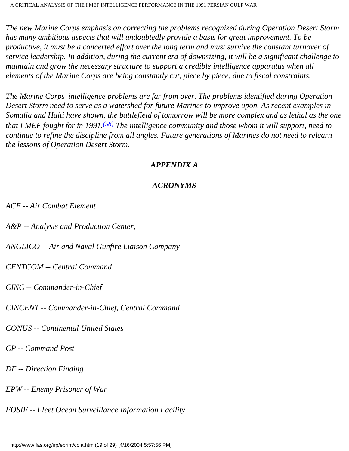*The new Marine Corps emphasis on correcting the problems recognized during Operation Desert Storm has many ambitious aspects that will undoubtedly provide a basis for great improvement. To be productive, it must be a concerted effort over the long term and must survive the constant turnover of service leadership. In addition, during the current era of downsizing, it will be a significant challenge to maintain and grow the necessary structure to support a credible intelligence apparatus when all elements of the Marine Corps are being constantly cut, piece by piece, due to fiscal constraints.* 

*The Marine Corps' intelligence problems are far from over. The problems identified during Operation Desert Storm need to serve as a watershed for future Marines to improve upon. As recent examples in Somalia and Haiti have shown, the battlefield of tomorrow will be more complex and as lethal as the one that I MEF fought for in 1991.[\(58\)](#page-28-9) The intelligence community and those whom it will support, need to continue to refine the discipline from all angles. Future generations of Marines do not need to relearn the lessons of Operation Desert Storm.* 

#### *APPENDIX A*

## *ACRONYMS*

*ACE -- Air Combat Element* 

*A&P -- Analysis and Production Center,* 

*ANGLICO -- Air and Naval Gunfire Liaison Company* 

*CENTCOM -- Central Command* 

*CINC -- Commander-in-Chief* 

*CINCENT -- Commander-in-Chief, Central Command* 

*CONUS -- Continental United States* 

*CP -- Command Post* 

*DF -- Direction Finding* 

*EPW -- Enemy Prisoner of War* 

*FOSIF -- Fleet Ocean Surveillance Information Facility*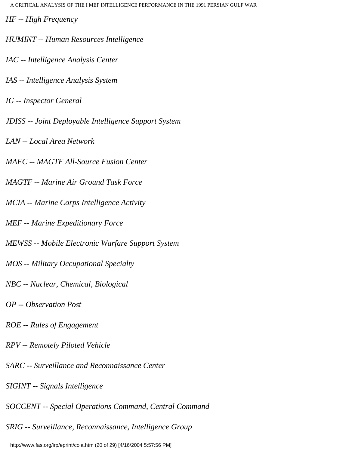*HF -- High Frequency* 

- *HUMINT -- Human Resources Intelligence*
- *IAC -- Intelligence Analysis Center*
- *IAS -- Intelligence Analysis System*
- *IG -- Inspector General*
- *JDISS -- Joint Deployable Intelligence Support System*
- *LAN -- Local Area Network*
- *MAFC -- MAGTF All-Source Fusion Center*
- *MAGTF -- Marine Air Ground Task Force*
- *MCIA -- Marine Corps Intelligence Activity*
- *MEF -- Marine Expeditionary Force*
- *MEWSS -- Mobile Electronic Warfare Support System*
- *MOS -- Military Occupational Specialty*
- *NBC -- Nuclear, Chemical, Biological*
- *OP -- Observation Post*
- *ROE -- Rules of Engagement*
- *RPV -- Remotely Piloted Vehicle*
- *SARC -- Surveillance and Reconnaissance Center*
- *SIGINT -- Signals Intelligence*
- *SOCCENT -- Special Operations Command, Central Command*
- *SRIG -- Surveillance, Reconnaissance, Intelligence Group*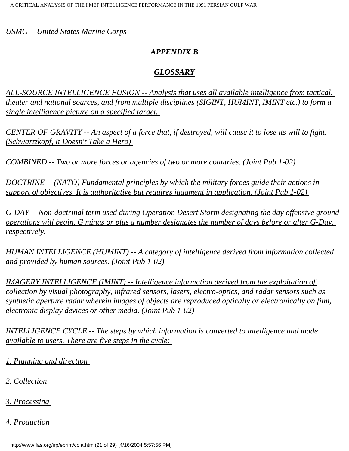*USMC -- United States Marine Corps* 

### *APPENDIX B*

### *GLOSSARY*

*ALL-SOURCE INTELLIGENCE FUSION -- Analysis that uses all available intelligence from tactical, theater and national sources, and from multiple disciplines (SIGINT, HUMINT, IMINT etc.) to form a single intelligence picture on a specified target.* 

*CENTER OF GRAVITY -- An aspect of a force that, if destroyed, will cause it to lose its will to fight. (Schwartzkopf, It Doesn't Take a Hero)* 

*COMBINED -- Two or more forces or agencies of two or more countries. (Joint Pub 1-02)* 

*DOCTRINE -- (NATO) Fundamental principles by which the military forces guide their actions in support of objectives. It is authoritative but requires judgment in application. (Joint Pub 1-02)* 

*G-DAY -- Non-doctrinal term used during Operation Desert Storm designating the day offensive ground operations will begin. G minus or plus a number designates the number of days before or after G-Day, respectively.* 

*HUMAN INTELLIGENCE (HUMINT) -- A category of intelligence derived from information collected and provided by human sources. (Joint Pub 1-02)* 

*IMAGERY INTELLIGENCE (IMINT) -- Intelligence information derived from the exploitation of collection by visual photography, infrared sensors, lasers, electro-optics, and radar sensors such as synthetic aperture radar wherein images of objects are reproduced optically or electronically on film, electronic display devices or other media. (Joint Pub 1-02)* 

*INTELLIGENCE CYCLE -- The steps by which information is converted to intelligence and made available to users. There are five steps in the cycle:* 

- *1. Planning and direction*
- *2. Collection*
- *3. Processing*
- *4. Production*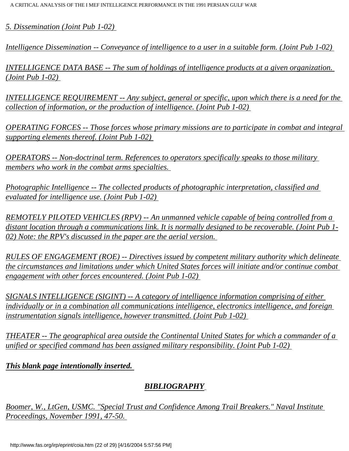*5. Dissemination (Joint Pub 1-02)* 

*Intelligence Dissemination -- Conveyance of intelligence to a user in a suitable form. (Joint Pub 1-02)* 

*INTELLIGENCE DATA BASE -- The sum of holdings of intelligence products at a given organization. (Joint Pub 1-02)* 

*INTELLIGENCE REQUIREMENT -- Any subject, general or specific, upon which there is a need for the collection of information, or the production of intelligence. (Joint Pub 1-02)* 

*OPERATING FORCES -- Those forces whose primary missions are to participate in combat and integral supporting elements thereof. (Joint Pub 1-02)* 

*OPERATORS -- Non-doctrinal term. References to operators specifically speaks to those military members who work in the combat arms specialties.* 

*Photographic Intelligence -- The collected products of photographic interpretation, classified and evaluated for intelligence use. (Joint Pub 1-02)* 

*REMOTELY PILOTED VEHICLES (RPV) -- An unmanned vehicle capable of being controlled from a distant location through a communications link. It is normally designed to be recoverable. (Joint Pub 1- 02) Note: the RPV's discussed in the paper are the aerial version.* 

*RULES OF ENGAGEMENT (ROE) -- Directives issued by competent military authority which delineate the circumstances and limitations under which United States forces will initiate and/or continue combat engagement with other forces encountered. (Joint Pub 1-02)* 

*SIGNALS INTELLIGENCE (SIGINT) -- A category of intelligence information comprising of either individually or in a combination all communications intelligence, electronics intelligence, and foreign instrumentation signals intelligence, however transmitted. (Joint Pub 1-02)* 

*THEATER -- The geographical area outside the Continental United States for which a commander of a unified or specified command has been assigned military responsibility. (Joint Pub 1-02)* 

*This blank page intentionally inserted.* 

## *BIBLIOGRAPHY*

*Boomer, W., LtGen, USMC. "Special Trust and Confidence Among Trail Breakers." Naval Institute Proceedings, November 1991, 47-50.*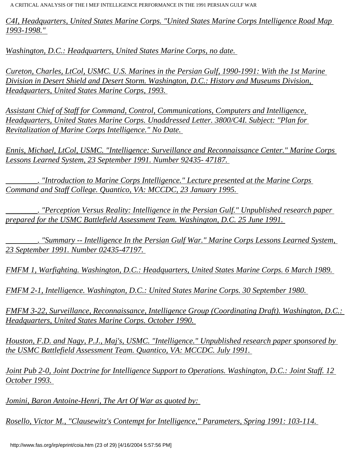*C4I, Headquarters, United States Marine Corps. "United States Marine Corps Intelligence Road Map 1993-1998."* 

*Washington, D.C.: Headquarters, United States Marine Corps, no date.* 

*Cureton, Charles, LtCol, USMC. U.S. Marines in the Persian Gulf, 1990-1991: With the 1st Marine Division in Desert Shield and Desert Storm. Washington, D.C.: History and Museums Division, Headquarters, United States Marine Corps, 1993.* 

*Assistant Chief of Staff for Command, Control, Communications, Computers and Intelligence, Headquarters, United States Marine Corps. Unaddressed Letter. 3800/C4I. Subject: "Plan for Revitalization of Marine Corps Intelligence." No Date.* 

*Ennis, Michael, LtCol, USMC. "Intelligence: Surveillance and Reconnaissance Center." Marine Corps Lessons Learned System, 23 September 1991. Number 92435- 47187.* 

*\_\_\_\_\_\_\_\_. "Introduction to Marine Corps Intelligence." Lecture presented at the Marine Corps Command and Staff College. Quantico, VA: MCCDC, 23 January 1995.* 

*\_\_\_\_\_\_\_\_. "Perception Versus Reality: Intelligence in the Persian Gulf." Unpublished research paper prepared for the USMC Battlefield Assessment Team. Washington, D.C. 25 June 1991.* 

*\_\_\_\_\_\_\_\_. "Summary -- Intelligence In the Persian Gulf War." Marine Corps Lessons Learned System, 23 September 1991. Number 02435-47197.* 

*FMFM 1, Warfighting. Washington, D.C.: Headquarters, United States Marine Corps. 6 March 1989.* 

*FMFM 2-1, Intelligence. Washington, D.C.: United States Marine Corps. 30 September 1980.* 

*FMFM 3-22, Surveillance, Reconnaissance, Intelligence Group (Coordinating Draft). Washington, D.C.: Headquarters, United States Marine Corps. October 1990.* 

*Houston, F.D. and Nagy, P.J., Maj's, USMC. "Intelligence." Unpublished research paper sponsored by the USMC Battlefield Assessment Team. Quantico, VA: MCCDC. July 1991.* 

*Joint Pub 2-0, Joint Doctrine for Intelligence Support to Operations. Washington, D.C.: Joint Staff. 12 October 1993.* 

*Jomini, Baron Antoine-Henri, The Art Of War as quoted by:* 

*Rosello, Victor M., "Clausewitz's Contempt for Intelligence," Parameters, Spring 1991: 103-114.*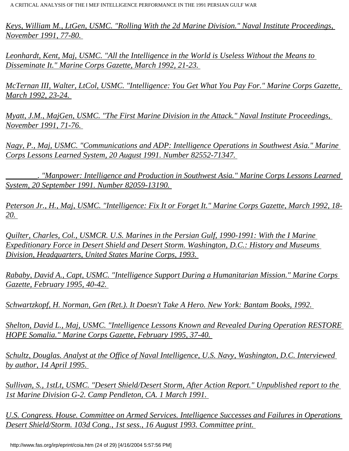*Keys, William M., LtGen, USMC. "Rolling With the 2d Marine Division." Naval Institute Proceedings, November 1991, 77-80.* 

*Leonhardt, Kent, Maj, USMC. "All the Intelligence in the World is Useless Without the Means to Disseminate It." Marine Corps Gazette, March 1992, 21-23.* 

*McTernan III, Walter, LtCol, USMC. "Intelligence: You Get What You Pay For." Marine Corps Gazette, March 1992, 23-24.* 

*Myatt, J.M., MajGen, USMC. "The First Marine Division in the Attack." Naval Institute Proceedings, November 1991, 71-76.* 

*Nagy, P., Maj, USMC. "Communications and ADP: Intelligence Operations in Southwest Asia." Marine Corps Lessons Learned System, 20 August 1991. Number 82552-71347.* 

*\_\_\_\_\_\_\_\_. "Manpower: Intelligence and Production in Southwest Asia." Marine Corps Lessons Learned System, 20 September 1991. Number 82059-13190.* 

*Peterson Jr., H., Maj, USMC. "Intelligence: Fix It or Forget It." Marine Corps Gazette, March 1992, 18- 20.* 

*Quilter, Charles, Col., USMCR. U.S. Marines in the Persian Gulf, 1990-1991: With the I Marine Expeditionary Force in Desert Shield and Desert Storm. Washington, D.C.: History and Museums Division, Headquarters, United States Marine Corps, 1993.* 

*Rababy, David A., Capt, USMC. "Intelligence Support During a Humanitarian Mission." Marine Corps Gazette, February 1995, 40-42.* 

*Schwartzkopf, H. Norman, Gen (Ret.). It Doesn't Take A Hero. New York: Bantam Books, 1992.* 

*Shelton, David L., Maj, USMC. "Intelligence Lessons Known and Revealed During Operation RESTORE HOPE Somalia." Marine Corps Gazette, February 1995, 37-40.* 

*Schultz, Douglas. Analyst at the Office of Naval Intelligence, U.S. Navy, Washington, D.C. Interviewed by author, 14 April 1995.* 

*Sullivan, S., 1stLt, USMC. "Desert Shield/Desert Storm, After Action Report." Unpublished report to the 1st Marine Division G-2. Camp Pendleton, CA. 1 March 1991.* 

*U.S. Congress. House. Committee on Armed Services. Intelligence Successes and Failures in Operations Desert Shield/Storm. 103d Cong., 1st sess., 16 August 1993. Committee print.*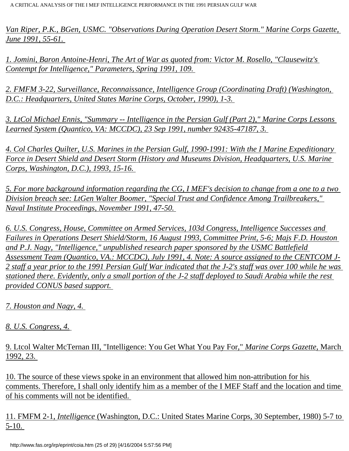*Van Riper, P.K., BGen, USMC. "Observations During Operation Desert Storm." Marine Corps Gazette, June 1991, 55-61.* 

<span id="page-24-0"></span>*1. Jomini, Baron Antoine-Henri, The Art of War as quoted from: Victor M. Rosello, "Clausewitz's Contempt for Intelligence," Parameters, Spring 1991, 109.* 

<span id="page-24-1"></span>*2. FMFM 3-22, Surveillance, Reconnaissance, Intelligence Group (Coordinating Draft) (Washington, D.C.: Headquarters, United States Marine Corps, October, 1990), 1-3.* 

<span id="page-24-2"></span>*3. LtCol Michael Ennis, "Summary -- Intelligence in the Persian Gulf (Part 2)," Marine Corps Lessons Learned System (Quantico, VA: MCCDC), 23 Sep 1991, number 92435-47187, 3.* 

<span id="page-24-3"></span>*4. Col Charles Quilter, U.S. Marines in the Persian Gulf, 1990-1991: With the I Marine Expeditionary Force in Desert Shield and Desert Storm (History and Museums Division, Headquarters, U.S. Marine Corps, Washington, D.C.), 1993, 15-16.* 

<span id="page-24-4"></span>*5. For more background information regarding the CG, I MEF's decision to change from a one to a two Division breach see: LtGen Walter Boomer, "Special Trust and Confidence Among Trailbreakers," Naval Institute Proceedings, November 1991, 47-50.* 

<span id="page-24-5"></span>*6. U.S. Congress, House, Committee on Armed Services, 103d Congress, Intelligence Successes and Failures in Operations Desert Shield/Storm, 16 August 1993, Committee Print, 5-6; Majs F.D. Houston and P.J. Nagy, "Intelligence," unpublished research paper sponsored by the USMC Battlefield Assessment Team (Quantico, VA.: MCCDC), July 1991, 4. Note: A source assigned to the CENTCOM J-2 staff a year prior to the 1991 Persian Gulf War indicated that the J-2's staff was over 100 while he was stationed there. Evidently, only a small portion of the J-2 staff deployed to Saudi Arabia while the rest provided CONUS based support.* 

<span id="page-24-6"></span>*7. Houston and Nagy, 4.* 

<span id="page-24-7"></span>*8. U.S. Congress, 4.*

<span id="page-24-8"></span>9. Ltcol Walter McTernan III, "Intelligence: You Get What You Pay For," *Marine Corps Gazette*, March 1992, 23.

<span id="page-24-9"></span>10. The source of these views spoke in an environment that allowed him non-attribution for his comments. Therefore, I shall only identify him as a member of the I MEF Staff and the location and time of his comments will not be identified.

<span id="page-24-10"></span>11. FMFM 2-1, *Intelligence* (Washington, D.C.: United States Marine Corps, 30 September, 1980) 5-7 to 5-10.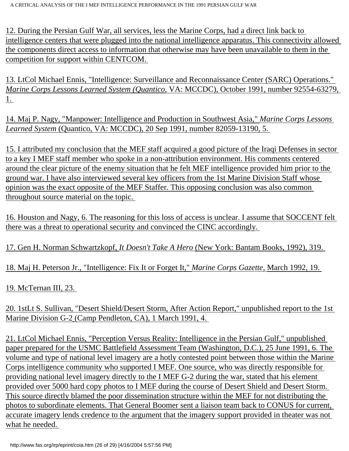<span id="page-25-0"></span>12. During the Persian Gulf War, all services, less the Marine Corps, had a direct link back to intelligence centers that were plugged into the national intelligence apparatus. This connectivity allowed the components direct access to information that otherwise may have been unavailable to them in the competition for support within CENTCOM.

<span id="page-25-1"></span>13. LtCol Michael Ennis, "Intelligence: Surveillance and Reconnaissance Center (SARC) Operations." *Marine Corps Lessons Learned System (Quantico*, VA: MCCDC), October 1991, number 92554-63279, 1.

<span id="page-25-2"></span>14. Maj P. Nagy, "Manpower: Intelligence and Production in Southwest Asia," *Marine Corps Lessons Learned System* (Quantico, VA: MCCDC), 20 Sep 1991, number 82059-13190, 5.

<span id="page-25-3"></span>15. I attributed my conclusion that the MEF staff acquired a good picture of the Iraqi Defenses in sector to a key I MEF staff member who spoke in a non-attribution environment. His comments centered around the clear picture of the enemy situation that he felt MEF intelligence provided him prior to the ground war. I have also interviewed several key officers from the 1st Marine Division Staff whose opinion was the exact opposite of the MEF Staffer. This opposing conclusion was also common throughout source material on the topic.

<span id="page-25-4"></span>16. Houston and Nagy, 6. The reasoning for this loss of access is unclear. I assume that SOCCENT felt there was a threat to operational security and convinced the CINC accordingly.

<span id="page-25-5"></span>17. Gen H. Norman Schwartzkopf, *It Doesn't Take A Hero* (New York: Bantam Books, 1992), 319.

<span id="page-25-6"></span>18. Maj H. Peterson Jr., "Intelligence: Fix It or Forget It," *Marine Corps Gazette,* March 1992, 19.

<span id="page-25-7"></span>19. McTernan III, 23.

<span id="page-25-8"></span>20. 1stLt S. Sullivan, "Desert Shield/Desert Storm, After Action Report," unpublished report to the 1st Marine Division G-2 (Camp Pendleton, CA), 1 March 1991, 4.

<span id="page-25-9"></span>21. LtCol Michael Ennis, "Perception Versus Reality: Intelligence in the Persian Gulf," unpublished paper prepared for the USMC Battlefield Assessment Team (Washington, D.C.), 25 June 1991, 6. The volume and type of national level imagery are a hotly contested point between those within the Marine Corps intelligence community who supported I MEF. One source, who was directly responsible for providing national level imagery directly to the I MEF G-2 during the war, stated that his element provided over 5000 hard copy photos to I MEF during the course of Desert Shield and Desert Storm. This source directly blamed the poor dissemination structure within the MEF for not distributing the photos to subordinate elements. That General Boomer sent a liaison team back to CONUS for current, accurate imagery lends credence to the argument that the imagery support provided in theater was not what he needed.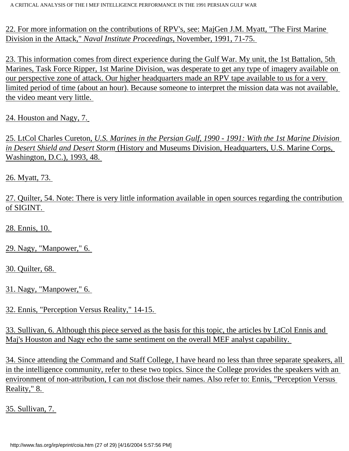<span id="page-26-0"></span>22. For more information on the contributions of RPV's, see: MajGen J.M. Myatt, "The First Marine Division in the Attack," *Naval Institute Proceedings*, November, 1991, 71-75.

<span id="page-26-1"></span>23. This information comes from direct experience during the Gulf War. My unit, the 1st Battalion, 5th Marines, Task Force Ripper, 1st Marine Division, was desperate to get any type of imagery available on our perspective zone of attack. Our higher headquarters made an RPV tape available to us for a very limited period of time (about an hour). Because someone to interpret the mission data was not available, the video meant very little.

<span id="page-26-2"></span>24. Houston and Nagy, 7.

<span id="page-26-3"></span>25. LtCol Charles Cureton, *U.S. Marines in the Persian Gulf, 1990 - 1991: With the 1st Marine Division in Desert Shield and Desert Storm* (History and Museums Division, Headquarters, U.S. Marine Corps, Washington, D.C.), 1993, 48.

<span id="page-26-4"></span>26. Myatt, 73.

<span id="page-26-5"></span>27. Quilter, 54. Note: There is very little information available in open sources regarding the contribution of SIGINT.

<span id="page-26-6"></span>28. Ennis, 10.

<span id="page-26-7"></span>29. Nagy, "Manpower," 6.

<span id="page-26-8"></span>30. Quilter, 68.

<span id="page-26-9"></span>31. Nagy, "Manpower," 6.

<span id="page-26-10"></span>32. Ennis, "Perception Versus Reality," 14-15.

<span id="page-26-11"></span>33. Sullivan, 6. Although this piece served as the basis for this topic, the articles by LtCol Ennis and Maj's Houston and Nagy echo the same sentiment on the overall MEF analyst capability.

<span id="page-26-12"></span>34. Since attending the Command and Staff College, I have heard no less than three separate speakers, all in the intelligence community, refer to these two topics. Since the College provides the speakers with an environment of non-attribution, I can not disclose their names. Also refer to: Ennis, "Perception Versus Reality," 8.

<span id="page-26-14"></span><span id="page-26-13"></span>35. Sullivan, 7.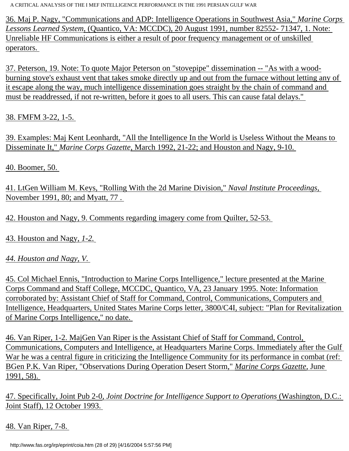36. Maj P. Nagy, "Communications and ADP: Intelligence Operations in Southwest Asia," *Marine Corps Lessons Learned System*, (Quantico, VA: MCCDC), 20 August 1991, number 82552- 71347, 1. Note: Unreliable HF Communications is either a result of poor frequency management or of unskilled operators.

<span id="page-27-0"></span>37. Peterson, 19. Note: To quote Major Peterson on "stovepipe" dissemination -- "As with a woodburning stove's exhaust vent that takes smoke directly up and out from the furnace without letting any of it escape along the way, much intelligence dissemination goes straight by the chain of command and must be readdressed, if not re-written, before it goes to all users. This can cause fatal delays."

<span id="page-27-1"></span>38. FMFM 3-22, 1-5.

<span id="page-27-2"></span>39. Examples: Maj Kent Leonhardt, "All the Intelligence In the World is Useless Without the Means to Disseminate It," *Marine Corps Gazette*, March 1992, 21-22; and Houston and Nagy, 9-10.

<span id="page-27-3"></span>40. Boomer, 50.

<span id="page-27-4"></span>41. LtGen William M. Keys, "Rolling With the 2d Marine Division," *Naval Institute Proceedings*, November 1991, 80; and Myatt, 77 .

<span id="page-27-5"></span>42. Houston and Nagy, 9. Comments regarding imagery come from Quilter, 52-53.

<span id="page-27-6"></span>43. Houston and Nagy, *1-2.*

<span id="page-27-7"></span>*44. Houston and Nagy, V.* 

<span id="page-27-8"></span>45. Col Michael Ennis, "Introduction to Marine Corps Intelligence," lecture presented at the Marine Corps Command and Staff College, MCCDC, Quantico, VA, 23 January 1995. Note: Information corroborated by: Assistant Chief of Staff for Command, Control, Communications, Computers and Intelligence, Headquarters, United States Marine Corps letter, 3800/C4I, subject: "Plan for Revitalization of Marine Corps Intelligence," no date.

<span id="page-27-9"></span>46. Van Riper, 1-2. MajGen Van Riper is the Assistant Chief of Staff for Command, Control, Communications, Computers and Intelligence, at Headquarters Marine Corps. Immediately after the Gulf War he was a central figure in criticizing the Intelligence Community for its performance in combat (ref: BGen P.K. Van Riper, "Observations During Operation Desert Storm," *Marine Corps Gazette*, June 1991, 58).

<span id="page-27-10"></span>47. Specifically, Joint Pub 2-0*, Joint Doctrine for Intelligence Support to Operations* (Washington, D.C.: Joint Staff), 12 October 1993.

<span id="page-27-11"></span>48. Van Riper, 7-8.